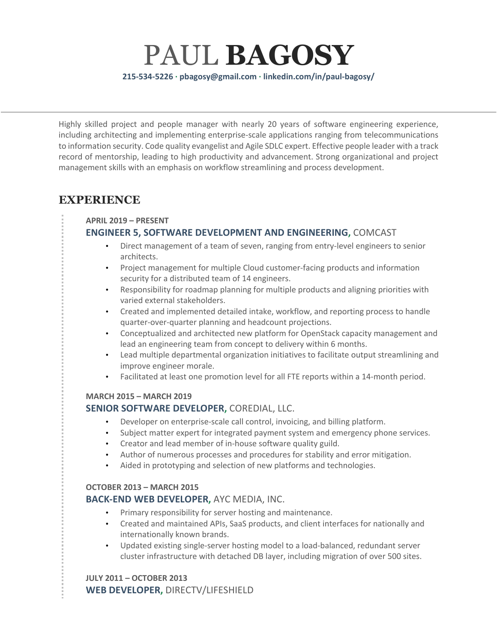PAUL **BAGOSY 215-534-5226 · pbagosy@gmail.com · linkedin.com/in/paul-bagosy/**

Highly skilled project and people manager with nearly 20 years of software engineering experience, including architecting and implementing enterprise-scale applications ranging from telecommunications to information security. Code quality evangelist and Agile SDLC expert. Effective people leader with a track record of mentorship, leading to high productivity and advancement. Strong organizational and project management skills with an emphasis on workflow streamlining and process development.

# **EXPERIENCE**

#### **APRIL 2019 – PRESENT**

### **ENGINEER 5, SOFTWARE DEVELOPMENT AND ENGINEERING,** COMCAST

- Direct management of a team of seven, ranging from entry-level engineers to senior architects.
- Project management for multiple Cloud customer-facing products and information security for a distributed team of 14 engineers.
- Responsibility for roadmap planning for multiple products and aligning priorities with varied external stakeholders.
- Created and implemented detailed intake, workflow, and reporting process to handle quarter-over-quarter planning and headcount projections.
- Conceptualized and architected new platform for OpenStack capacity management and lead an engineering team from concept to delivery within 6 months.
- Lead multiple departmental organization initiatives to facilitate output streamlining and improve engineer morale.
- Facilitated at least one promotion level for all FTE reports within a 14-month period.

#### **MARCH 2015 – MARCH 2019**

### **SENIOR SOFTWARE DEVELOPER,** COREDIAL, LLC.

- Developer on enterprise-scale call control, invoicing, and billing platform.
- Subject matter expert for integrated payment system and emergency phone services.
- Creator and lead member of in-house software quality guild.
- Author of numerous processes and procedures for stability and error mitigation.
- Aided in prototyping and selection of new platforms and technologies.

#### **OCTOBER 2013 – MARCH 2015**

### **BACK-END WEB DEVELOPER,** AYC MEDIA, INC.

- Primary responsibility for server hosting and maintenance.
- Created and maintained APIs, SaaS products, and client interfaces for nationally and internationally known brands.
- Updated existing single-server hosting model to a load-balanced, redundant server cluster infrastructure with detached DB layer, including migration of over 500 sites.

### **JULY 2011 – OCTOBER 2013**

**WEB DEVELOPER,** DIRECTV/LIFESHIELD